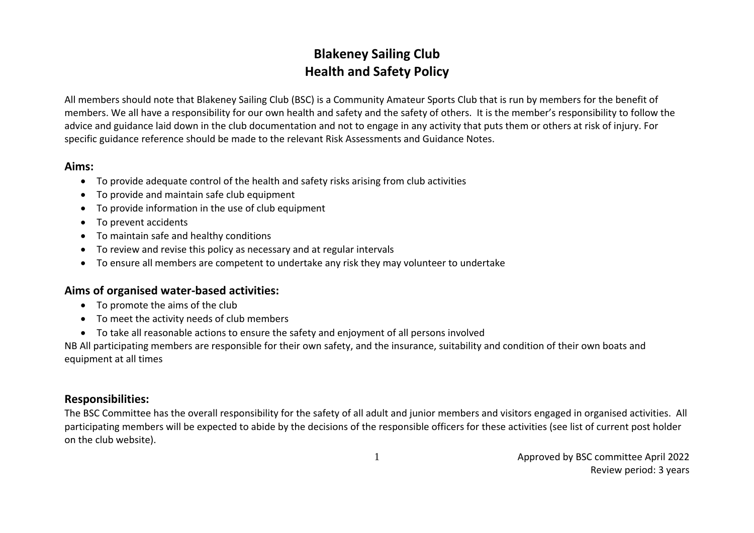# **Blakeney Sailing Club Health and Safety Policy**

All members should note that Blakeney Sailing Club (BSC) is a Community Amateur Sports Club that is run by members for the benefit of members. We all have a responsibility for our own health and safety and the safety of others. It is the member's responsibility to follow the advice and guidance laid down in the club documentation and not to engage in any activity that puts them or others at risk of injury. For specific guidance reference should be made to the relevant Risk Assessments and Guidance Notes.

#### **Aims:**

- To provide adequate control of the health and safety risks arising from club activities
- To provide and maintain safe club equipment
- To provide information in the use of club equipment
- To prevent accidents
- To maintain safe and healthy conditions
- To review and revise this policy as necessary and at regular intervals
- To ensure all members are competent to undertake any risk they may volunteer to undertake

## **Aims of organised water-based activities:**

- To promote the aims of the club
- To meet the activity needs of club members
- To take all reasonable actions to ensure the safety and enjoyment of all persons involved

NB All participating members are responsible for their own safety, and the insurance, suitability and condition of their own boats and equipment at all times

## **Responsibilities:**

The BSC Committee has the overall responsibility for the safety of all adult and junior members and visitors engaged in organised activities. All participating members will be expected to abide by the decisions of the responsible officers for these activities (see list of current post holder on the club website).

1